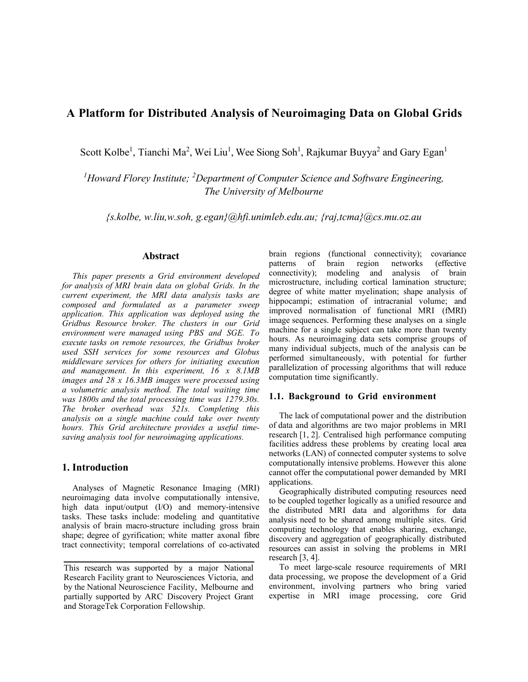# A Platform for Distributed Analysis of Neuroimaging Data on Global Grids

Scott Kolbe<sup>1</sup>, Tianchi Ma<sup>2</sup>, Wei Liu<sup>1</sup>, Wee Siong Soh<sup>1</sup>, Rajkumar Buyya<sup>2</sup> and Gary Egan<sup>1</sup>

<sup>1</sup> Howard Florey Institute; <sup>2</sup> Department of Computer Science and Software Engineering, *The University of Melbourne*

*{s.kolbe, w.liu,w.soh, g.egan}@hfi.unimleb.edu.au; {raj,tcma}@cs.mu.oz.au*

# Abstract

*This paper presents a Grid environment developed for analysis of MRI brain data on global Grids. In the current experiment, the MRI data analysis tasks are composed and formulated as a parameter sweep application. This application was deployed using the Gridbus Resource broker. The clusters in our Grid environment were managed using PBS and SGE. To execute tasks on remote resources, the Gridbus broker used SSH services for some resources and Globus middleware services for others for initiating execution and management. In this experiment, 16 x 8.1MB images and 28 x 16.3MB images were processed using a volumetric analysis method. The total waiting time was 1800s and the total processing time was 1279.30s. The broker overhead was 521s. Completing this analysis on a single machine could take over twenty hours. This Grid architecture provides a useful timesaving analysis tool for neuroimaging applications.*

## 1. Introduction

Analyses of Magnetic Resonance Imaging (MRI) neuroimaging data involve computationally intensive, high data input/output (I/O) and memory-intensive tasks. These tasks include: modeling and quantitative analysis of brain macro-structure including gross brain shape; degree of gyrification; white matter axonal fibre tract connectivity; temporal correlations of co-activated

brain regions (functional connectivity); covariance patterns of brain region networks (effective connectivity); modeling and analysis of brain microstructure, including cortical lamination structure; degree of white matter myelination; shape analysis of hippocampi; estimation of intracranial volume; and improved normalisation of functional MRI (fMRI) image sequences. Performing these analyses on a single machine for a single subject can take more than twenty hours. As neuroimaging data sets comprise groups of many individual subjects, much of the analysis can be performed simultaneously, with potential for further parallelization of processing algorithms that will reduce computation time significantly.

# 1.1. Background to Grid environment

The lack of computational power and the distribution of data and algorithms are two major problems in MRI research [1, 2]. Centralised high performance computing facilities address these problems by creating local area networks (LAN) of connected computer systems to solve computationally intensive problems. However this alone cannot offer the computational power demanded by MRI applications.

Geographically distributed computing resources need to be coupled together logically as a unified resource and the distributed MRI data and algorithms for data analysis need to be shared among multiple sites. Grid computing technology that enables sharing, exchange, discovery and aggregation of geographically distributed resources can assist in solving the problems in MRI research [3, 4].

To meet large-scale resource requirements of MRI data processing, we propose the development of a Grid environment, involving partners who bring varied expertise in MRI image processing, core Grid

This research was supported by a major National Research Facility grant to Neurosciences Victoria, and by the National Neuroscience Facility, Melbourne and partially supported by ARC Discovery Project Grant and StorageTek Corporation Fellowship.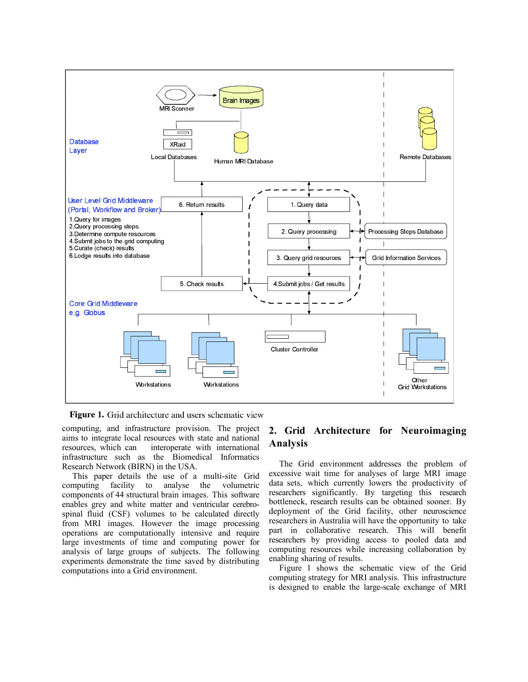

Figure 1. Grid architecture and users schematic view

computing, and infrastructure provision. The project aims to integrate local resources with state and national resources, which can interoperate with international infrastructure such as the Biomedical Informatics Research Network (BIRN) in the USA.

This paper details the use of a multi-site Grid computing facility to analyse the volumetric components of 44 structural brain images. This software enables grey and white matter and ventricular cerebrospinal fluid (CSF) volumes to be calculated directly from MRI images. However the image processing operations are computationally intensive and require large investments of time and computing power for analysis of large groups of subjects. The following experiments demonstrate the time saved by distributing computations into a Grid environment.

# 2. Grid Architecture for Neuroimaging Analysis

The Grid environment addresses the problem of excessive wait time for analyses of large MRI image data sets, which currently lowers the productivity of researchers significantly. By targeting this research bottleneck, research results can be obtained sooner. By deployment of the Grid facility, other neuroscience researchers in Australia will have the opportunity to take part in collaborative research. This will benefit researchers by providing access to pooled data and computing resources while increasing collaboration by enabling sharing of results.

Figure 1 shows the schematic view of the Grid computing strategy for MRI analysis. This infrastructure is designed to enable the large-scale exchange of MRI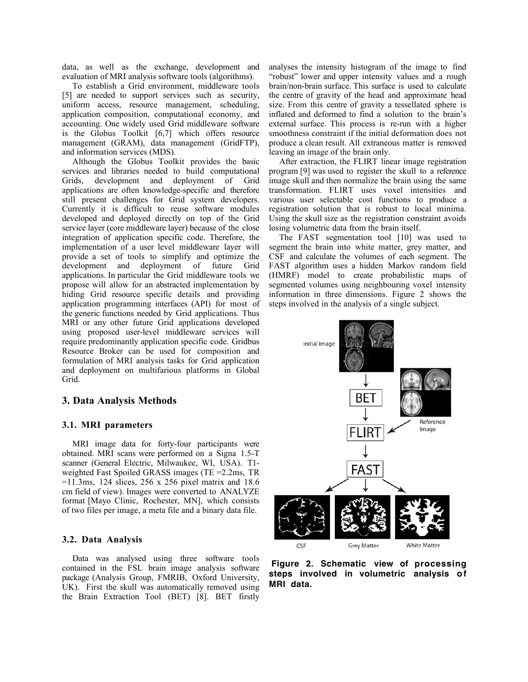data, as well as the exchange, development and evaluation of MRI analysis software tools (algorithms).

To establish a Grid environment, middleware tools [5] are needed to support services such as security, uniform access, resource management, scheduling, application composition, computational economy, and accounting. One widely used Grid middleware software is the Globus Toolkit [6,7] which offers resource management (GRAM), data management (GridFTP), and information services (MDS).

Although the Globus Toolkit provides the basic services and libraries needed to build computational Grids, development and deployment of Grid applications are often knowledge-specific and therefore still present challenges for Grid system developers. Currently it is difficult to reuse software modules developed and deployed directly on top of the Grid service layer (core middleware layer) because of the close integration of application specific code. Therefore, the implementation of a user level middleware layer will provide a set of tools to simplify and optimize the development and deployment of future Grid applications. In particular the Grid middleware tools we propose will allow for an abstracted implementation by hiding Grid resource specific details and providing application programming interfaces (API) for most of the generic functions needed by Grid applications. Thus MRI or any other future Grid applications developed using proposed user-level middleware services will require predominantly application specific code. Gridbus Resource Broker can be used for composition and formulation of MRI analysis tasks for Grid application and deployment on multifarious platforms in Global Grid.

# 3. Data Analysis Methods

#### 3.1. MRI parameters

MRI image data for forty-four participants were obtained. MRI scans were performed on a Signa 1.5-T scanner (General Electric, Milwaukee, WI, USA). T1 weighted Fast Spoiled GRASS images (TE =2.2ms, TR  $=11.3$ ms, 124 slices, 256 x 256 pixel matrix and 18.6 cm field of view). Images were converted to ANALYZE format [Mayo Clinic, Rochester, MN], which consists of two files per image, a meta file and a binary data file.

# 3.2. Data Analysis

Data was analysed using three software tools contained in the FSL brain image analysis software package (Analysis Group, FMRIB, Oxford University, UK). First the skull was automatically removed using the Brain Extraction Tool (BET) [8]. BET firstly analyses the intensity histogram of the image to find "robust" lower and upper intensity values and a rough brain/non-brain surface. This surface is used to calculate the centre of gravity of the head and approximate head size. From this centre of gravity a tessellated sphere is inflated and deformed to find a solution to the brain's external surface. This process is re-run with a higher smoothness constraint if the initial deformation does not produce a clean result. All extraneous matter is removed leaving an image of the brain only.

After extraction, the FLIRT linear image registration program [9] was used to register the skull to a reference image skull and then normalize the brain using the same transformation. FLIRT uses voxel intensities and various user selectable cost functions to produce a registration solution that is robust to local minima. Using the skull size as the registration constraint avoids losing volumetric data from the brain itself.

The FAST segmentation tool [10] was used to segment the brain into white matter, grey matter, and CSF and calculate the volumes of each segment. The FAST algorithm uses a hidden Markov random field (HMRF) model to create probabilistic maps of segmented volumes using neighbouring voxel intensity information in three dimensions. Figure 2 shows the steps involved in the analysis of a single subject.



**Figure 2. Schematic view of processing** steps involved in volumetric analysis of **MRI data.**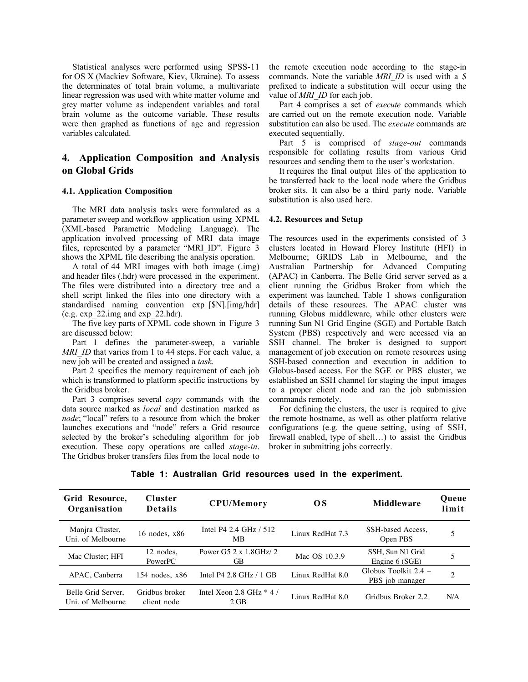Statistical analyses were performed using SPSS-11 for OS X (Mackiev Software, Kiev, Ukraine). To assess the determinates of total brain volume, a multivariate linear regression was used with white matter volume and grey matter volume as independent variables and total brain volume as the outcome variable. These results were then graphed as functions of age and regression variables calculated.

# 4. Application Composition and Analysis on Global Grids

#### 4.1. Application Composition

The MRI data analysis tasks were formulated as a parameter sweep and workflow application using XPML (XML-based Parametric Modeling Language). The application involved processing of MRI data image files, represented by a parameter "MRI\_ID". Figure 3 shows the XPML file describing the analysis operation.

A total of 44 MRI images with both image (.img) and header files (.hdr) were processed in the experiment. The files were distributed into a directory tree and a shell script linked the files into one directory with a standardised naming convention exp\_[\$N].[img/hdr] (e.g. exp\_22.img and exp\_22.hdr).

The five key parts of XPML code shown in Figure 3 are discussed below:

Part 1 defines the parameter-sweep, a variable *MRI\_ID* that varies from 1 to 44 steps. For each value, a new job will be created and assigned a *task*.

Part 2 specifies the memory requirement of each job which is transformed to platform specific instructions by the Gridbus broker.

Part 3 comprises several *copy* commands with the data source marked as *local* and destination marked as *node*; "local" refers to a resource from which the broker launches executions and "node" refers a Grid resource selected by the broker's scheduling algorithm for job execution. These copy operations are called *stage-in*. The Gridbus broker transfers files from the local node to

the remote execution node according to the stage-in commands. Note the variable *MRI\_ID* is used with a *\$* prefixed to indicate a substitution will occur using the value of *MRI\_ID* for each job.

Part 4 comprises a set of *execute* commands which are carried out on the remote execution node. Variable substitution can also be used. The *execute* commands are executed sequentially.

Part 5 is comprised of *stage-out* commands responsible for collating results from various Grid resources and sending them to the user's workstation.

It requires the final output files of the application to be transferred back to the local node where the Gridbus broker sits. It can also be a third party node. Variable substitution is also used here.

#### 4.2. Resources and Setup

The resources used in the experiments consisted of 3 clusters located in Howard Florey Institute (HFI) in Melbourne; GRIDS Lab in Melbourne, and the Australian Partnership for Advanced Computing (APAC) in Canberra. The Belle Grid server served as a client running the Gridbus Broker from which the experiment was launched. Table 1 shows configuration details of these resources. The APAC cluster was running Globus middleware, while other clusters were running Sun N1 Grid Engine (SGE) and Portable Batch System (PBS) respectively and were accessed via an SSH channel. The broker is designed to support management of job execution on remote resources using SSH-based connection and execution in addition to Globus-based access. For the SGE or PBS cluster, we established an SSH channel for staging the input images to a proper client node and ran the job submission commands remotely.

For defining the clusters, the user is required to give the remote hostname, as well as other platform relative configurations (e.g. the queue setting, using of SSH, firewall enabled, type of shell…) to assist the Gridbus broker in submitting jobs correctly.

| Grid Resource,<br>Organisation          | <b>Cluster</b><br><b>Details</b> | <b>CPU/Memory</b>                         | OS               | <b>Middleware</b>                         | <b>Oueue</b><br>limit |
|-----------------------------------------|----------------------------------|-------------------------------------------|------------------|-------------------------------------------|-----------------------|
| Manjra Cluster,<br>Uni. of Melbourne    | 16 nodes, $x86$                  | Intel P4 2.4 GHz $/$ 512<br>MВ            | Linux RedHat 7.3 | SSH-based Access.<br>Open PBS             | 5                     |
| Mac Cluster: HFI                        | 12 nodes.<br>PowerPC             | Power G5 2 x $1.8$ GHz $/$ 2<br><b>GB</b> | Mac OS 10.3.9    | SSH, Sun N1 Grid<br>Engine 6 (SGE)        |                       |
| APAC, Canberra                          | 154 nodes, $x86$                 | Intel $P4 2.8$ GHz $/ 1$ GB               | Linux RedHat 8.0 | Globus Toolkit $2.4$ –<br>PBS job manager | 2                     |
| Belle Grid Server,<br>Uni. of Melbourne | Gridbus broker<br>client node    | Intel Xeon 2.8 GHz $*$ 4 /<br>$2$ GB      | Linux RedHat 8.0 | Gridbus Broker 2.2                        | N/A                   |

**Table 1: Australian Grid resources used in the experiment.**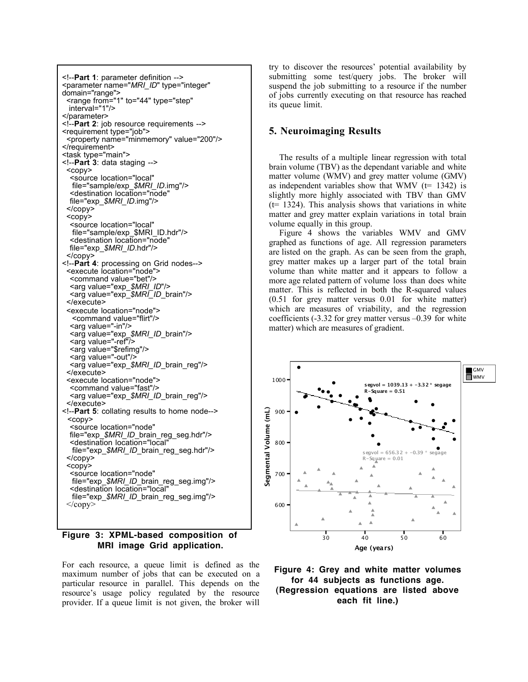

**Figure 3: XPML-based composition of MRI image Grid application.**

For each resource, a queue limit is defined as the maximum number of jobs that can be executed on a particular resource in parallel. This depends on the resource's usage policy regulated by the resource provider. If a queue limit is not given, the broker will

try to discover the resources' potential availability by submitting some test/query jobs. The broker will suspend the job submitting to a resource if the number of jobs currently executing on that resource has reached its queue limit.

# 5. Neuroimaging Results

The results of a multiple linear regression with total brain volume (TBV) as the dependant variable and white matter volume (WMV) and grey matter volume (GMV) as independent variables show that WMV  $(t= 1342)$  is slightly more highly associated with TBV than GMV  $(t= 1324)$ . This analysis shows that variations in white matter and grey matter explain variations in total brain volume equally in this group.

Figure 4 shows the variables WMV and GMV graphed as functions of age. All regression parameters are listed on the graph. As can be seen from the graph, grey matter makes up a larger part of the total brain volume than white matter and it appears to follow a more age related pattern of volume loss than does white matter. This is reflected in both the R-squared values (0.51 for grey matter versus 0.01 for white matter) which are measures of vriability, and the regression coefficients (-3.32 for grey matter versus –0.39 for white matter) which are measures of gradient.



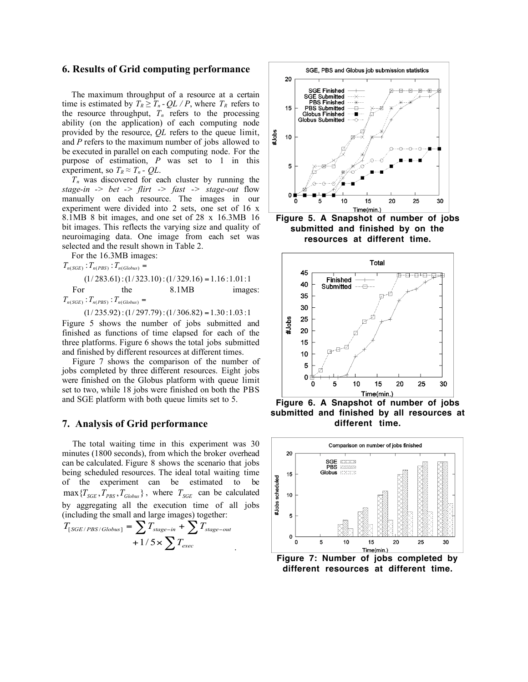# 6. Results of Grid computing performance

The maximum throughput of a resource at a certain time is estimated by  $T_R \geq T_n - QL / P$ , where  $T_R$  refers to the resource throughput,  $T_n$  refers to the processing ability (on the application) of each computing node provided by the resource, *QL* refers to the queue limit, and *P* refers to the maximum number of jobs allowed to be executed in parallel on each computing node. For the purpose of estimation, *P* was set to 1 in this experiment, so  $T_R \approx T_n - QL$ .

 $T_n$  was discovered for each cluster by running the *stage-in -> bet -> flirt -> fast -> stage-out* flow manually on each resource. The images in our experiment were divided into 2 sets, one set of 16 x 8.1MB 8 bit images, and one set of 28 x 16.3MB 16 bit images. This reflects the varying size and quality of neuroimaging data. One image from each set was selected and the result shown in Table 2.

For the 16.3MB images:

$$
T_{n(SGE)} : T_{n(PBS)} : T_{n(Globus)} =
$$
\n(1/283.61) : (1/323.10) : (1/329.16) = 1.16 : 1.01 : 1  
\nFor the 8.1MB images:  
\n
$$
T_{n(SGE)} : T_{n(Globus)} =
$$

 $(1/235.92):(1/297.79):(1/306.82)=1.30:1.03:1$ 

Figure 5 shows the number of jobs submitted and finished as functions of time elapsed for each of the three platforms. Figure 6 shows the total jobs submitted and finished by different resources at different times.

Figure 7 shows the comparison of the number of jobs completed by three different resources. Eight jobs were finished on the Globus platform with queue limit set to two, while 18 jobs were finished on both the PBS and SGE platform with both queue limits set to 5.

## 7. Analysis of Grid performance

The total waiting time in this experiment was 30 minutes (1800 seconds), from which the broker overhead can be calculated. Figure 8 shows the scenario that jobs being scheduled resources. The ideal total waiting time of the experiment can be estimated to be  $\max\{T_{SGE}, T_{PBS}, T_{Globus}\}\,$ , where  $T_{SGE}$  can be calculated by aggregating all the execution time of all jobs (including the small and large images) together:

.

$$
T_{[SGE/PBS/Globus]} = \sum T_{stage-in} + \sum T_{stage-out}
$$
  
+1/5× $\sum T_{exec}$ 



**Figure 5. A Snapshot of number of jobs submitted and finished by on the resources at different time.**



**Figure 6. A Snapshot of number of jobs submitted and finished by all resources at different time.**



**different resources at different time.**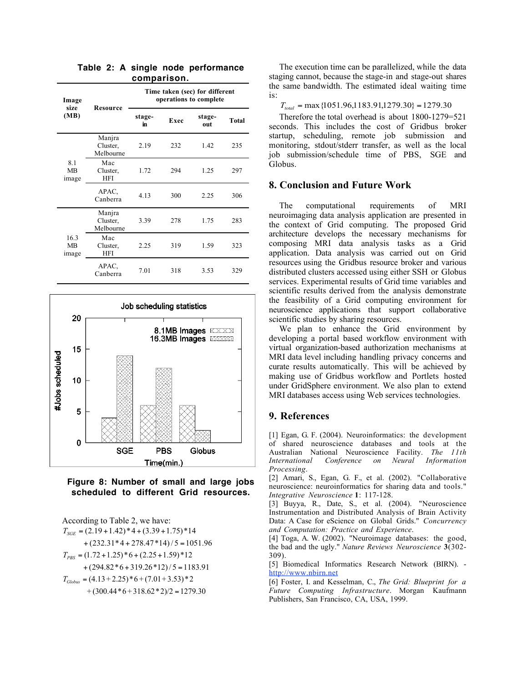| Image<br>size<br>(MB)      | Resource                        | Time taken (sec) for different<br>operations to complete |      |               |       |  |
|----------------------------|---------------------------------|----------------------------------------------------------|------|---------------|-------|--|
|                            |                                 | stage-<br>in                                             | Exec | stage-<br>out | Total |  |
| 8.1<br><b>MB</b><br>image  | Manjra<br>Cluster,<br>Melbourne | 2.19                                                     | 232  | 1.42          | 235   |  |
|                            | Mac<br>Cluster.<br><b>HFI</b>   | 1.72                                                     | 294  | 1.25          | 297   |  |
|                            | APAC.<br>Canberra               | 4.13                                                     | 300  | 2.25          | 306   |  |
| 16.3<br><b>MB</b><br>image | Manjra<br>Cluster,<br>Melbourne | 3.39                                                     | 278  | 1.75          | 283   |  |
|                            | Mac<br>Cluster,<br><b>HFI</b>   | 2.25                                                     | 319  | 1.59          | 323   |  |
|                            | APAC,<br>Canberra               | 7.01                                                     | 318  | 3.53          | 329   |  |

**Table 2: A single node performance comparison.**



**Figure 8: Number of small and large jobs scheduled to different Grid resources.**

According to Table 2, we have:  $+(232.31*4+278.47*14)/5=1051.96$  $T_{SGE} = (2.19 + 1.42)^* + 4 + (3.39 + 1.75)^* + 14$  $+(294.82 * 6 + 319.26 * 12) / 5 = 1183.91$  $T_{PBS} = (1.72 + 1.25)^* 6 + (2.25 + 1.59)^* 12$  $+(300.44*6+318.62*2)/2=1279.30$  $T_{Globus} = (4.13 + 2.25)*6 + (7.01 + 3.53)*2$ 

The execution time can be parallelized, while the data staging cannot, because the stage-in and stage-out shares the same bandwidth. The estimated ideal waiting time is:

 $T_{total}$  = max {1051.96,1183.91,1279.30} = 1279.30

Therefore the total overhead is about 1800-1279=521 seconds. This includes the cost of Gridbus broker startup, scheduling, remote job submission and monitoring, stdout/stderr transfer, as well as the local job submission/schedule time of PBS, SGE and Globus.

# 8. Conclusion and Future Work

The computational requirements of MRI neuroimaging data analysis application are presented in the context of Grid computing. The proposed Grid architecture develops the necessary mechanisms for composing MRI data analysis tasks as a Grid application. Data analysis was carried out on Grid resources using the Gridbus resource broker and various distributed clusters accessed using either SSH or Globus services. Experimental results of Grid time variables and scientific results derived from the analysis demonstrate the feasibility of a Grid computing environment for neuroscience applications that support collaborative scientific studies by sharing resources.

We plan to enhance the Grid environment by developing a portal based workflow environment with virtual organization-based authorization mechanisms at MRI data level including handling privacy concerns and curate results automatically. This will be achieved by making use of Gridbus workflow and Portlets hosted under GridSphere environment. We also plan to extend MRI databases access using Web services technologies.

### 9. References

[1] Egan, G. F. (2004). Neuroinformatics: the development of shared neuroscience databases and tools at the Australian National Neuroscience Facility. *The 11th International Conference on Neural Information Processing*.

[2] Amari, S., Egan, G. F., et al. (2002). "Collaborative neuroscience: neuroinformatics for sharing data and tools." *Integrative Neuroscience* 1: 117-128.

[3] Buyya, R., Date, S., et al. (2004). "Neuroscience Instrumentation and Distributed Analysis of Brain Activity Data: A Case for eScience on Global Grids." *Concurrency and Computation: Practice and Experience*.

[4] Toga, A. W. (2002). "Neuroimage databases: the good, the bad and the ugly." *Nature Reviews Neuroscience* 3(302- 309).

[5] Biomedical Informatics Research Network (BIRN). http://www.nbirn.net

[6] Foster, I. and Kesselman, C., *The Grid: Blueprint for a Future Computing Infrastructure*. Morgan Kaufmann Publishers, San Francisco, CA, USA, 1999.